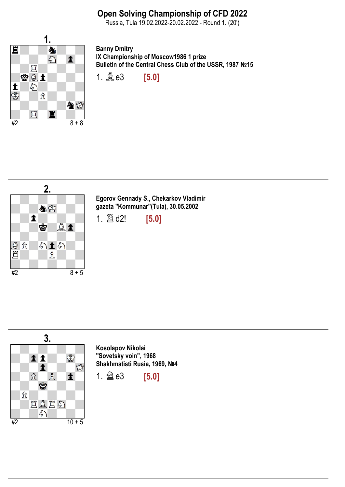Russia, Tula 19.02.2022-20.02.2022 - Round 1. (20')



Banny Dmitry IX Championship of Moscow1986 1 prize Bulletin of the Central Chess Club of the USSR, 1987 №15

1. **奠 e3** [5.0]



Egorov Gennady S., Chekarkov Vladimir gazeta "Kommunar"(Tula), 30.05.2002

1.  $\hat{\mathbb{E}}$  d2! [5.0]



Kosolapov Nikolai "Sovetsky voin", 1968 Shakhmatisti Rusia, 1969, №4

1.  $\hat{\otimes}$  e3 [5.0]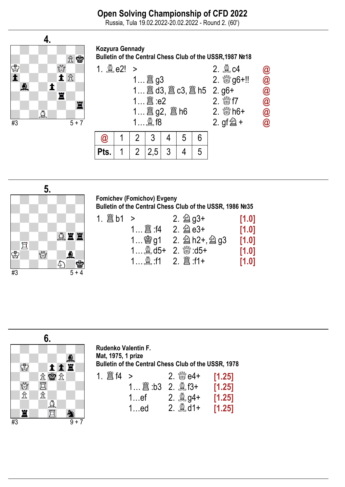Russia, Tula 19.02.2022-20.02.2022 - Round 2. (60')



Kozyura Gennady Bulletin of the Central Chess Club of the USSR,1987 №18





Fomichev (Fomichov) Evgeny Bulletin of the Central Chess Club of the USSR, 1986 №35

|  |                                                                           | 2. $\hat{\otimes}$ g3+  | [1.0] |
|--|---------------------------------------------------------------------------|-------------------------|-------|
|  |                                                                           | 2. $\hat{\otimes}$ e3+  | [1.0] |
|  |                                                                           | $1$ 曾 g1 2. 2 h2+, 2 g3 | [1.0] |
|  | $1\overset{6}{\otimes} d5+2.\overset{60}{\otimes} d5+$                    |                         | [1.0] |
|  | $1$ $\stackrel{\circledR}{\sim}$ :f1 2. $\stackrel{\circledR}{\sim}$ :f1+ |                         | [1.0] |



Rudenko Valentin F. Mat, 1975, 1 prize Bulletin of the Central Chess Club of the USSR, 1978 1.  $\hat{\Xi}$  f4 > 2.  $\hat{\Xi}$  e4+ [1.25] 1…♖:b3 2. ♗f3+ [1.25] 1…ef 2. **Ag4+** [1.25] 1…ed 2. **ad**1+ [1.25]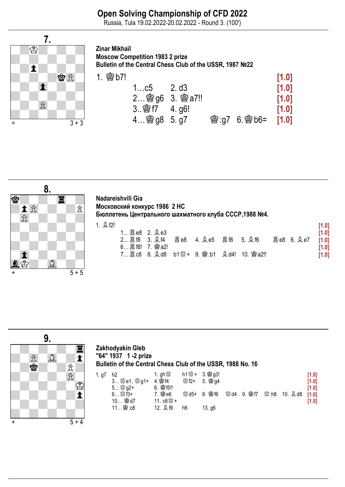## Open Solving Championship of CFD 2022

Russia, Tula 19.02.2022-20.02.2022 - Round 3. (100')



Zinar Mikhaïl Moscow Competition 1983 2 prize Bulletin of the Central Chess Club of the USSR, 1987 №22

|                     |                |                          | [1.0] |
|---------------------|----------------|--------------------------|-------|
| $1$ c $5$           | 2. d3          |                          | [1.0] |
|                     | 2 窗g6 3. 窗a7!! |                          | [1.0] |
| $3.$ \$ $17$ 4. q6! |                |                          | [1.0] |
| 4 @ g8 5.g7         |                | <b>窗:g7 6.窗b6= [1.0]</b> |       |



| Nadareishvili Gia                                      |
|--------------------------------------------------------|
| Московский конкурс 1986 2 НС                           |
| Бюллетень Центрального шахматного клуба СССР, 1988 №4. |
| . 8 m                                                  |

|                    |      |                                     |  |                   | [1.0] |
|--------------------|------|-------------------------------------|--|-------------------|-------|
| $1$ 28 e8 2. $2e3$ |      |                                     |  |                   | [1.0] |
| 2 2 f8 3. 2 f4     | 闔 e8 |                                     |  | <b>簋e8 6. 奠e7</b> | [1.0] |
|                    |      |                                     |  |                   | [1.0] |
|                    |      | 7 圖 c8 8. 1d8 b1 端 + 9. 传: b1 鼻 d4! |  |                   | [1.0] |



### Zakhodyakin Gleb "64" 1937 1 -2 prize Bulletin of the Central Chess Club of the USSR, 1988 No. 16

| 1. g7 | h2                  | 1. gh $\mathbb{S}^n$      | $h1\frac{m}{\infty}$ + | 3. 窗g3!          |     |               |                  |         | [1.0] |
|-------|---------------------|---------------------------|------------------------|------------------|-----|---------------|------------------|---------|-------|
|       | 3 <i>L</i> e1, 窗g1+ | 4. 窗 f4                   | ₩f2+                   | 5. 窗g4           |     |               |                  |         | [1.0] |
|       |                     | <b>會f5!!</b><br>6.        |                        |                  |     |               |                  |         | [1.0] |
|       | $6$ & $f3+$         | <b>魯e6</b>                | 19% d5+                | <b>曾f6</b><br>8. | ₩d4 | 會f7<br>່ 9. ⊾ | $\mathbb{S}$ :h8 | 10. ad8 | [1.0] |
|       | 曾d7<br>10           | 11. $c8\frac{800}{600} +$ |                        |                  |     |               |                  |         | [1.0] |
|       |                     | 12. 鼻f6                   | h6                     | 13.96            |     |               |                  |         |       |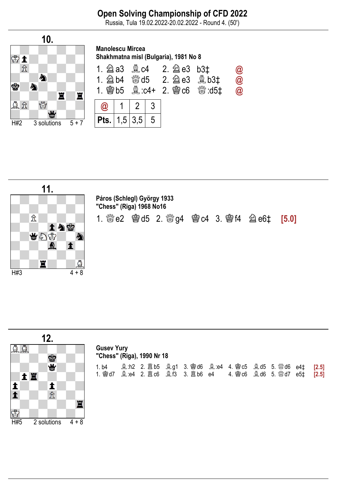## Open Solving Championship of CFD 2022

Russia, Tula 19.02.2022-20.02.2022 - Round 4. (50')





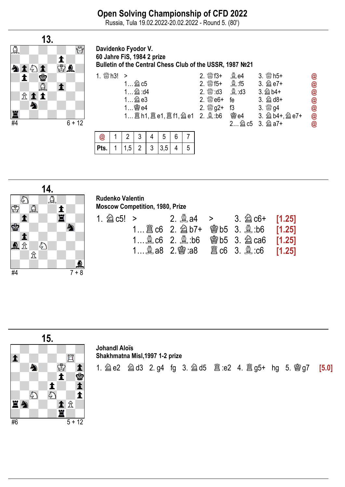Russia, Tula 19.02.2022-20.02.2022 - Round 5. (80')



Davidenko Fyodor V. 60 Jahre FiS, 1984 2 prize Bulletin of the Central Chess Club of the USSR, 1987 №21

|                                   | 2. 鬱f3+                   | $\mathcal{Q}$ e4         | $3.$ \sm h5+             | @             |
|-----------------------------------|---------------------------|--------------------------|--------------------------|---------------|
| $1$ 2 $c5$                        | 2. $\frac{300}{25}$ f5+   | <b>奠:f5</b>              | 3. 2e7+                  | @             |
| $1 \nsubseteq$ :d4                | $2.$ $\frac{30}{20}$ : d3 | <b>Ad3</b> : d3          | $3.\n  2$ b4+            | $\bm{\omega}$ |
| 1 2 e3                            | $2.$ @ $e6+$              | fe                       | $3.$ $\hat{\otimes}$ d8+ | @             |
|                                   | 2. $\frac{800}{60}$ g2+   | f3                       |                          | @             |
| 1 圖 h1, 圖 e1, 圖 f1, 2 e1 2. 奠 :b6 |                           | 窗e4                      | 3. 2b4+, 2e7+            | $\bm{\omega}$ |
|                                   |                           | $\overline{\mathcal{L}}$ | <b>②c5</b> 3. 2 a7+      | @             |

| $^{\textregistered}$ |  | J |                                          |  |
|----------------------|--|---|------------------------------------------|--|
| Pts.                 |  |   | $1 \mid 1,5 \mid 2 \mid 3 \mid 3,5 \mid$ |  |



# Rudenko Valentin

|  | <b>Moscow Competition, 1980, Prize</b> |  |  |
|--|----------------------------------------|--|--|
|--|----------------------------------------|--|--|

|  |  | 1 இ c6 2. இ b6 @ b5 3. 2 ca6 <b>[1.25]</b> |  |
|--|--|--------------------------------------------|--|
|  |  |                                            |  |



1. ♘e2 ♘d3 2. g4 fg 3. ♘d5 ♖:e2 4. ♖g5+ hg 5. ♔g7 [5.0]